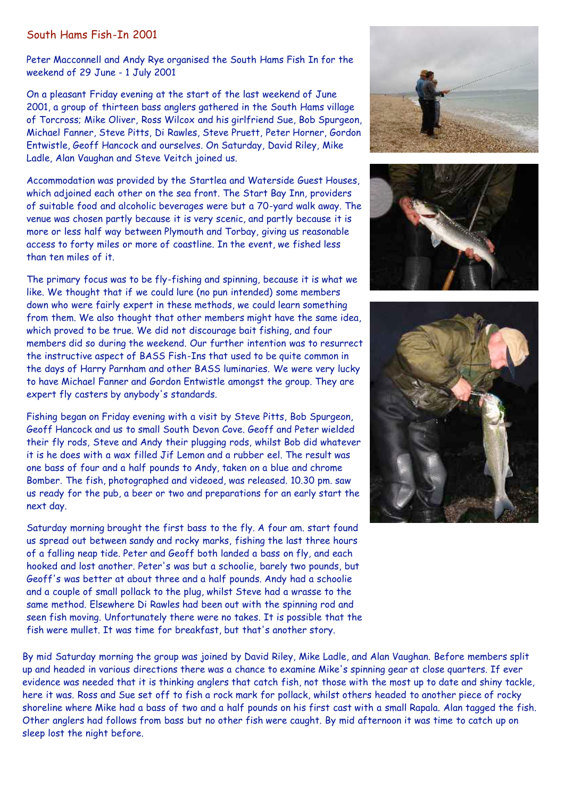## South Hams Fish-In 2001

Peter Macconnell and Andy Rye organised the South Hams Fish In for the weekend of 29 June - 1 July 2001

On a pleasant Friday evening at the start of the last weekend of June 2001, a group of thirteen bass anglers gathered in the South Hams village of Torcross; Mike Oliver, Ross Wilcox and his girlfriend Sue, Bob Spurgeon, Michael Fanner, Steve Pitts, Di Rawles, Steve Pruett, Peter Horner, Gordon Entwistle, Geoff Hancock and ourselves. On Saturday, David Riley, Mike Ladle, Alan Vaughan and Steve Veitch joined us.

Accommodation was provided by the Startlea and Waterside Guest Houses, which adjoined each other on the sea front. The Start Bay Inn, providers of suitable food and alcoholic beverages were but a 70-yard walk away. The venue was chosen partly because it is very scenic, and partly because it is more or less half way between Plymouth and Torbay, giving us reasonable access to forty miles or more of coastline. In the event, we fished less than ten miles of it.

The primary focus was to be fly-fishing and spinning, because it is what we like. We thought that if we could lure (no pun intended) some members down who were fairly expert in these methods, we could learn something from them. We also thought that other members might have the same idea, which proved to be true. We did not discourage bait fishing, and four members did so during the weekend. Our further intention was to resurrect the instructive aspect of BASS Fish-Ins that used to be quite common in the days of Harry Parnham and other BASS luminaries. We were very lucky to have Michael Fanner and Gordon Entwistle amongst the group. They are expert fly casters by anybody's standards.

Fishing began on Friday evening with a visit by Steve Pitts, Bob Spurgeon, Geoff Hancock and us to small South Devon Cove. Geoff and Peter wielded their fly rods, Steve and Andy their plugging rods, whilst Bob did whatever it is he does with a wax filled Jif Lemon and a rubber eel. The result was one bass of four and a half pounds to Andy, taken on a blue and chrome Bomber. The fish, photographed and videoed, was released. 10.30 pm. saw us ready for the pub, a beer or two and preparations for an early start the next day.

Saturday morning brought the first bass to the fly. A four am. start found us spread out between sandy and rocky marks, fishing the last three hours of a falling neap tide. Peter and Geoff both landed a bass on fly, and each hooked and lost another. Peter's was but a schoolie, barely two pounds, but Geoff's was better at about three and a half pounds. Andy had a schoolie and a couple of small pollack to the plug, whilst Steve had a wrasse to the same method. Elsewhere Di Rawles had been out with the spinning rod and seen fish moving. Unfortunately there were no takes. It is possible that the fish were mullet. It was time for breakfast, but that's another story.

By mid Saturday morning the group was joined by David Riley, Mike Ladle, and Alan Vaughan. Before members split up and headed in various directions there was a chance to examine Mike's spinning gear at close quarters. If ever evidence was needed that it is thinking anglers that catch fish, not those with the most up to date and shiny tackle, here it was. Ross and Sue set off to fish a rock mark for pollack, whilst others headed to another piece of rocky shoreline where Mike had a bass of two and a half pounds on his first cast with a small Rapala. Alan tagged the fish. Other anglers had follows from bass but no other fish were caught. By mid afternoon it was time to catch up on sleep lost the night before.





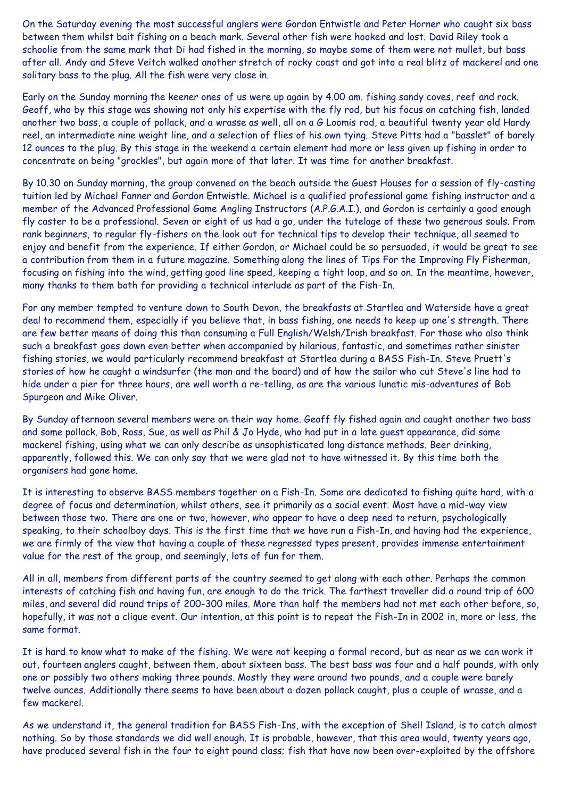On the Saturday evening the most successful anglers were Gordon Entwistle and Peter Horner who caught six bass between them whilst bait fishing on a beach mark. Several other fish were hooked and lost. David Riley took a schoolie from the same mark that Di had fished in the morning, so maybe some of them were not mullet, but bass after all. Andy and Steve Veitch walked another stretch of rocky coast and got into a real blitz of mackerel and one solitary bass to the plug. All the fish were very close in.

Early on the Sunday morning the keener ones of us were up again by 4.00 am. fishing sandy coves, reef and rock. Geoff, who by this stage was showing not only his expertise with the fly rod, but his focus on catching fish, landed another two bass, a couple of pollack, and a wrasse as well, all on a G Loomis rod, a beautiful twenty year old Hardy reel, an intermediate nine weight line, and a selection of flies of his own tying. Steve Pitts had a "basslet" of barely 12 ounces to the plug. By this stage in the weekend a certain element had more or less given up fishing in order to concentrate on being "grockles", but again more of that later. It was time for another breakfast.

By 10.30 on Sunday morning, the group convened on the beach outside the Guest Houses for a session of fly-casting tuition led by Michael Fanner and Gordon Entwistle. Michael is a qualified professional game fishing instructor and a member of the Advanced Professional Game Angling Instructors (A.P.G.A.I.), and Gordon is certainly a good enough fly caster to be a professional. Seven or eight of us had a go, under the tutelage of these two generous souls. From rank beginners, to regular fly-fishers on the look out for technical tips to develop their technique, all seemed to enjoy and benefit from the experience. If either Gordon, or Michael could be so persuaded, it would be great to see a contribution from them in a future magazine. Something along the lines of Tips For the Improving Fly Fisherman, focusing on fishing into the wind, getting good line speed, keeping a tight loop, and so on. In the meantime, however, many thanks to them both for providing a technical interlude as part of the Fish-In.

For any member tempted to venture down to South Devon, the breakfasts at Startlea and Waterside have a great deal to recommend them, especially if you believe that, in bass fishing, one needs to keep up one's strength. There are few better means of doing this than consuming a Full English/Welsh/Irish breakfast. For those who also think such a breakfast goes down even better when accompanied by hilarious, fantastic, and sometimes rather sinister fishing stories, we would particularly recommend breakfast at Startlea during a BASS Fish-In. Steve Pruett's stories of how he caught a windsurfer (the man and the board) and of how the sailor who cut Steve's line had to hide under a pier for three hours, are well worth a re-telling, as are the various lunatic mis-adventures of Bob Spurgeon and Mike Oliver.

By Sunday afternoon several members were on their way home. Geoff fly fished again and caught another two bass and some pollack. Bob, Ross, Sue, as well as Phil & Jo Hyde, who had put in a late guest appearance, did some mackerel fishing, using what we can only describe as unsophisticated long distance methods. Beer drinking, apparently, followed this. We can only say that we were glad not to have witnessed it. By this time both the organisers had gone home.

It is interesting to observe BASS members together on a Fish-In. Some are dedicated to fishing quite hard, with a degree of focus and determination, whilst others, see it primarily as a social event. Most have a mid-way view between those two. There are one or two, however, who appear to have a deep need to return, psychologically speaking, to their schoolboy days. This is the first time that we have run a Fish-In, and having had the experience, we are firmly of the view that having a couple of these regressed types present, provides immense entertainment value for the rest of the group, and seemingly, lots of fun for them.

All in all, members from different parts of the country seemed to get along with each other. Perhaps the common interests of catching fish and having fun, are enough to do the trick. The farthest traveller did a round trip of 600 miles, and several did round trips of 200-300 miles. More than half the members had not met each other before, so, hopefully, it was not a clique event. Our intention, at this point is to repeat the Fish-In in 2002 in, more or less, the same format.

It is hard to know what to make of the fishing. We were not keeping a formal record, but as near as we can work it out, fourteen anglers caught, between them, about sixteen bass. The best bass was four and a half pounds, with only one or possibly two others making three pounds. Mostly they were around two pounds, and a couple were barely twelve ounces. Additionally there seems to have been about a dozen pollack caught, plus a couple of wrasse, and a few mackerel.

As we understand it, the general tradition for BASS Fish-Ins, with the exception of Shell Island, is to catch almost nothing. So by those standards we did well enough. It is probable, however, that this area would, twenty years ago, have produced several fish in the four to eight pound class; fish that have now been over-exploited by the offshore